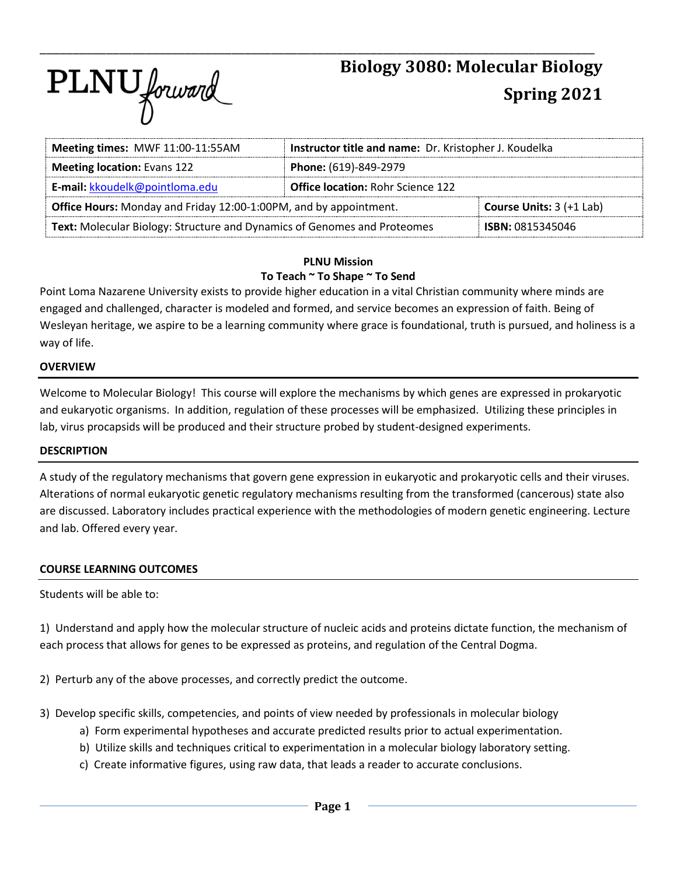

| Meeting times: MWF 11:00-11:55AM                                         | Instructor title and name: Dr. Kristopher J. Koudelka |  |  |  |  |
|--------------------------------------------------------------------------|-------------------------------------------------------|--|--|--|--|
| <b>Meeting location: Evans 122</b>                                       | Phone: (619)-849-2979                                 |  |  |  |  |
| E-mail: kkoudelk@pointloma.edu                                           | <b>Office location: Rohr Science 122</b>              |  |  |  |  |
| Office Hours: Monday and Friday 12:00-1:00PM, and by appointment.        | <b>Course Units: 3 (+1 Lab)</b>                       |  |  |  |  |
| Text: Molecular Biology: Structure and Dynamics of Genomes and Proteomes | <b>ISBN: 0815345046</b>                               |  |  |  |  |

\_\_\_\_\_\_\_\_\_\_\_\_\_\_\_\_\_\_\_\_\_\_\_\_\_\_\_\_\_\_\_\_\_\_\_\_\_\_\_\_\_\_\_\_\_\_\_\_\_\_\_\_\_\_\_\_\_\_\_\_\_\_\_\_\_\_\_\_\_\_\_\_\_\_\_\_\_\_\_\_\_\_\_\_

### **PLNU Mission To Teach ~ To Shape ~ To Send**

Point Loma Nazarene University exists to provide higher education in a vital Christian community where minds are engaged and challenged, character is modeled and formed, and service becomes an expression of faith. Being of Wesleyan heritage, we aspire to be a learning community where grace is foundational, truth is pursued, and holiness is a way of life.

## **OVERVIEW**

Welcome to Molecular Biology! This course will explore the mechanisms by which genes are expressed in prokaryotic and eukaryotic organisms. In addition, regulation of these processes will be emphasized. Utilizing these principles in lab, virus procapsids will be produced and their structure probed by student-designed experiments.

### **DESCRIPTION**

A study of the regulatory mechanisms that govern gene expression in eukaryotic and prokaryotic cells and their viruses. Alterations of normal eukaryotic genetic regulatory mechanisms resulting from the transformed (cancerous) state also are discussed. Laboratory includes practical experience with the methodologies of modern genetic engineering. Lecture and lab. Offered every year.

# **COURSE LEARNING OUTCOMES**

Students will be able to:

1) Understand and apply how the molecular structure of nucleic acids and proteins dictate function, the mechanism of each process that allows for genes to be expressed as proteins, and regulation of the Central Dogma.

2) Perturb any of the above processes, and correctly predict the outcome.

- 3) Develop specific skills, competencies, and points of view needed by professionals in molecular biology
	- a) Form experimental hypotheses and accurate predicted results prior to actual experimentation.
	- b) Utilize skills and techniques critical to experimentation in a molecular biology laboratory setting.
	- c) Create informative figures, using raw data, that leads a reader to accurate conclusions.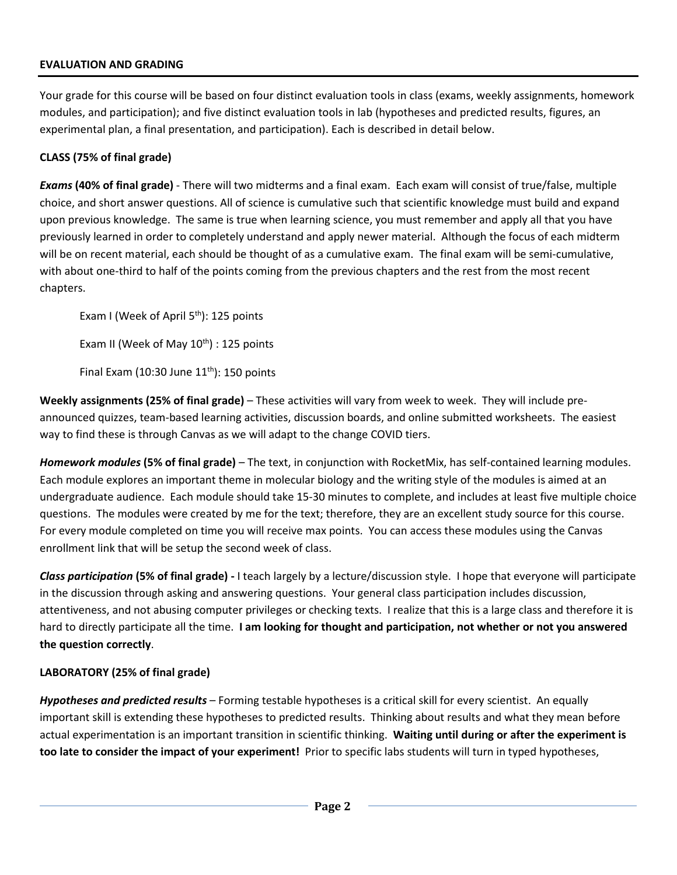# **EVALUATION AND GRADING**

Your grade for this course will be based on four distinct evaluation tools in class (exams, weekly assignments, homework modules, and participation); and five distinct evaluation tools in lab (hypotheses and predicted results, figures, an experimental plan, a final presentation, and participation). Each is described in detail below.

# **CLASS (75% of final grade)**

*Exams* **(40% of final grade)** - There will two midterms and a final exam. Each exam will consist of true/false, multiple choice, and short answer questions. All of science is cumulative such that scientific knowledge must build and expand upon previous knowledge. The same is true when learning science, you must remember and apply all that you have previously learned in order to completely understand and apply newer material. Although the focus of each midterm will be on recent material, each should be thought of as a cumulative exam. The final exam will be semi-cumulative, with about one-third to half of the points coming from the previous chapters and the rest from the most recent chapters.

Exam I (Week of April 5<sup>th</sup>): 125 points

Exam II (Week of May  $10^{th}$ ) : 125 points

Final Exam (10:30 June  $11<sup>th</sup>$ ): 150 points

**Weekly assignments (25% of final grade)** – These activities will vary from week to week. They will include preannounced quizzes, team-based learning activities, discussion boards, and online submitted worksheets. The easiest way to find these is through Canvas as we will adapt to the change COVID tiers.

*Homework modules* **(5% of final grade)** – The text, in conjunction with RocketMix, has self-contained learning modules. Each module explores an important theme in molecular biology and the writing style of the modules is aimed at an undergraduate audience. Each module should take 15-30 minutes to complete, and includes at least five multiple choice questions. The modules were created by me for the text; therefore, they are an excellent study source for this course. For every module completed on time you will receive max points. You can access these modules using the Canvas enrollment link that will be setup the second week of class.

*Class participation* **(5% of final grade) -** I teach largely by a lecture/discussion style. I hope that everyone will participate in the discussion through asking and answering questions. Your general class participation includes discussion, attentiveness, and not abusing computer privileges or checking texts. I realize that this is a large class and therefore it is hard to directly participate all the time. **I am looking for thought and participation, not whether or not you answered the question correctly**.

# **LABORATORY (25% of final grade)**

*Hypotheses and predicted results* – Forming testable hypotheses is a critical skill for every scientist. An equally important skill is extending these hypotheses to predicted results. Thinking about results and what they mean before actual experimentation is an important transition in scientific thinking. **Waiting until during or after the experiment is too late to consider the impact of your experiment!** Prior to specific labs students will turn in typed hypotheses,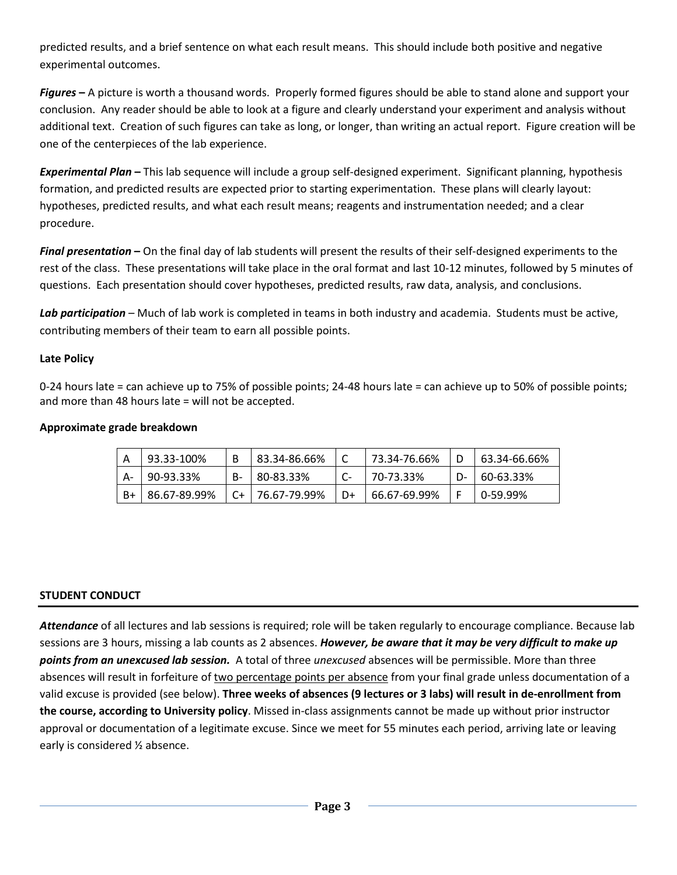predicted results, and a brief sentence on what each result means. This should include both positive and negative experimental outcomes.

*Figures* **–** A picture is worth a thousand words. Properly formed figures should be able to stand alone and support your conclusion. Any reader should be able to look at a figure and clearly understand your experiment and analysis without additional text. Creation of such figures can take as long, or longer, than writing an actual report. Figure creation will be one of the centerpieces of the lab experience.

*Experimental Plan* **–** This lab sequence will include a group self-designed experiment. Significant planning, hypothesis formation, and predicted results are expected prior to starting experimentation. These plans will clearly layout: hypotheses, predicted results, and what each result means; reagents and instrumentation needed; and a clear procedure.

*Final presentation* **–** On the final day of lab students will present the results of their self-designed experiments to the rest of the class. These presentations will take place in the oral format and last 10-12 minutes, followed by 5 minutes of questions. Each presentation should cover hypotheses, predicted results, raw data, analysis, and conclusions.

*Lab participation* – Much of lab work is completed in teams in both industry and academia. Students must be active, contributing members of their team to earn all possible points.

# **Late Policy**

0-24 hours late = can achieve up to 75% of possible points; 24-48 hours late = can achieve up to 50% of possible points; and more than 48 hours late = will not be accepted.

# **Approximate grade breakdown**

| 93.33-100%   |           | 83.34-86.66% |    | 73.34-76.66% |    | 63.34-66.66%        |
|--------------|-----------|--------------|----|--------------|----|---------------------|
| 90-93.33%    | <b>B-</b> | 80-83.33%    |    | 70-73.33%    | n- | $\mid 60 - 63.33\%$ |
| 86.67-89.99% | $C+$      | 76.67-79.99% | D+ | 66.67-69.99% |    | 0-59.99%            |

# **STUDENT CONDUCT**

*Attendance* of all lectures and lab sessions is required; role will be taken regularly to encourage compliance. Because lab sessions are 3 hours, missing a lab counts as 2 absences. *However, be aware that it may be very difficult to make up points from an unexcused lab session.* A total of three *unexcused* absences will be permissible. More than three absences will result in forfeiture of two percentage points per absence from your final grade unless documentation of a valid excuse is provided (see below). **Three weeks of absences (9 lectures or 3 labs) will result in de-enrollment from the course, according to University policy**. Missed in-class assignments cannot be made up without prior instructor approval or documentation of a legitimate excuse. Since we meet for 55 minutes each period, arriving late or leaving early is considered ½ absence.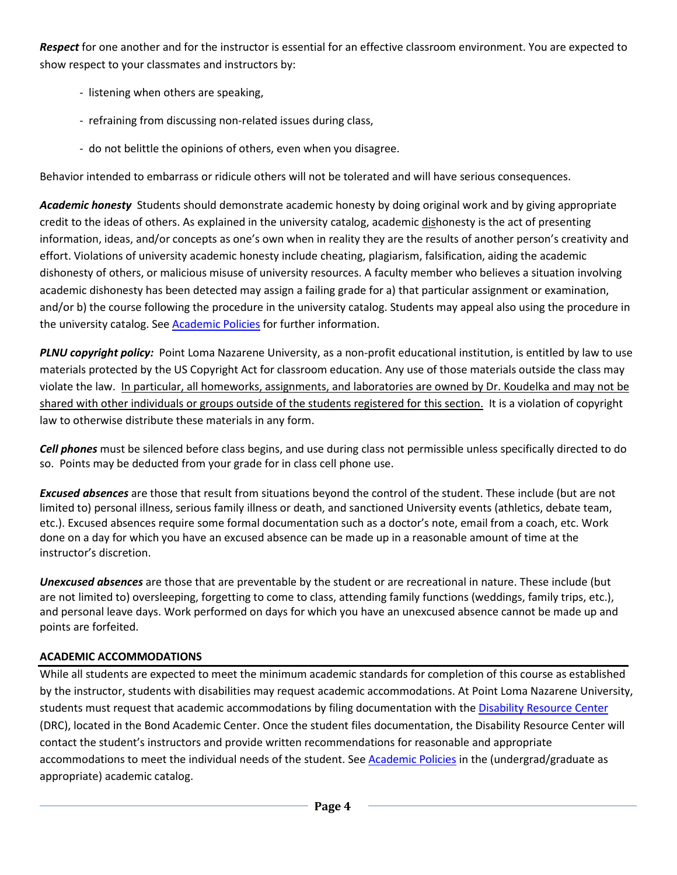*Respect* for one another and for the instructor is essential for an effective classroom environment. You are expected to show respect to your classmates and instructors by:

- listening when others are speaking,
- refraining from discussing non-related issues during class,
- do not belittle the opinions of others, even when you disagree.

Behavior intended to embarrass or ridicule others will not be tolerated and will have serious consequences.

*Academic honesty* Students should demonstrate academic honesty by doing original work and by giving appropriate credit to the ideas of others. As explained in the university catalog, academic dishonesty is the act of presenting information, ideas, and/or concepts as one's own when in reality they are the results of another person's creativity and effort. Violations of university academic honesty include cheating, plagiarism, falsification, aiding the academic dishonesty of others, or malicious misuse of university resources. A faculty member who believes a situation involving academic dishonesty has been detected may assign a failing grade for a) that particular assignment or examination, and/or b) the course following the procedure in the university catalog. Students may appeal also using the procedure in the university catalog. See [Academic Policies](http://www.pointloma.edu/experience/academics/catalogs/undergraduate-catalog/point-loma-education/academic-policies) for further information.

*PLNU copyright policy:* Point Loma Nazarene University, as a non-profit educational institution, is entitled by law to use materials protected by the US Copyright Act for classroom education. Any use of those materials outside the class may violate the law.In particular, all homeworks, assignments, and laboratories are owned by Dr. Koudelka and may not be shared with other individuals or groups outside of the students registered for this section. It is a violation of copyright law to otherwise distribute these materials in any form.

*Cell phones* must be silenced before class begins, and use during class not permissible unless specifically directed to do so. Points may be deducted from your grade for in class cell phone use.

*Excused absences* are those that result from situations beyond the control of the student. These include (but are not limited to) personal illness, serious family illness or death, and sanctioned University events (athletics, debate team, etc.). Excused absences require some formal documentation such as a doctor's note, email from a coach, etc. Work done on a day for which you have an excused absence can be made up in a reasonable amount of time at the instructor's discretion.

*Unexcused absences* are those that are preventable by the student or are recreational in nature. These include (but are not limited to) oversleeping, forgetting to come to class, attending family functions (weddings, family trips, etc.), and personal leave days. Work performed on days for which you have an unexcused absence cannot be made up and points are forfeited.

# **ACADEMIC ACCOMMODATIONS**

While all students are expected to meet the minimum academic standards for completion of this course as established by the instructor, students with disabilities may request academic accommodations. At Point Loma Nazarene University, students must request that academic accommodations by filing documentation with the [Disability Resource Center](http://www.pointloma.edu/experience/offices/administrative-offices/academic-advising-office/disability-resource-center) (DRC), located in the Bond Academic Center. Once the student files documentation, the Disability Resource Center will contact the student's instructors and provide written recommendations for reasonable and appropriate accommodations to meet the individual needs of the student. See [Academic Policies](http://www.pointloma.edu/experience/academics/catalogs/undergraduate-catalog/point-loma-education/academic-policies) in the (undergrad/graduate as appropriate) academic catalog.